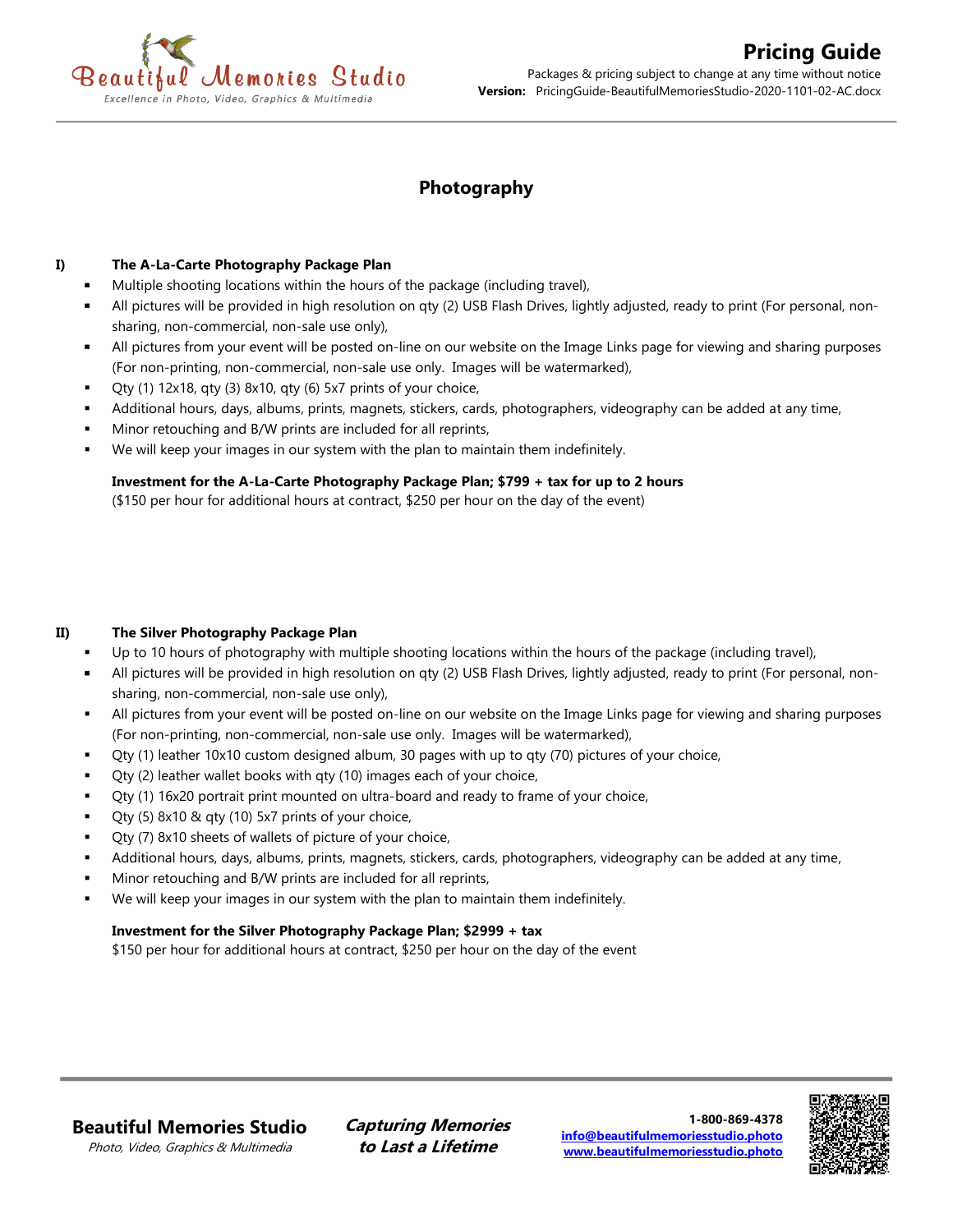

# **Photography**

### **I) The A-La-Carte Photography Package Plan**

- Multiple shooting locations within the hours of the package (including travel),
- All pictures will be provided in high resolution on qty (2) USB Flash Drives, lightly adjusted, ready to print (For personal, nonsharing, non-commercial, non-sale use only),
- All pictures from your event will be posted on-line on our website on the Image Links page for viewing and sharing purposes (For non-printing, non-commercial, non-sale use only. Images will be watermarked),
- Qty (1) 12x18, qty (3) 8x10, qty (6) 5x7 prints of your choice,
- Additional hours, days, albums, prints, magnets, stickers, cards, photographers, videography can be added at any time,
- Minor retouching and B/W prints are included for all reprints,
- We will keep your images in our system with the plan to maintain them indefinitely.

# **Investment for the A-La-Carte Photography Package Plan; \$799 + tax for up to 2 hours**

(\$150 per hour for additional hours at contract, \$250 per hour on the day of the event)

### **II) The Silver Photography Package Plan**

- Up to 10 hours of photography with multiple shooting locations within the hours of the package (including travel),
- All pictures will be provided in high resolution on qty (2) USB Flash Drives, lightly adjusted, ready to print (For personal, nonsharing, non-commercial, non-sale use only),
- All pictures from your event will be posted on-line on our website on the Image Links page for viewing and sharing purposes (For non-printing, non-commercial, non-sale use only. Images will be watermarked),
- Qty (1) leather  $10x10$  custom designed album, 30 pages with up to gty (70) pictures of your choice,
- Qty (2) leather wallet books with qty (10) images each of your choice,
- Qty (1) 16x20 portrait print mounted on ultra-board and ready to frame of your choice,
- Qty (5)  $8x10$  & qty (10)  $5x7$  prints of your choice,
- Qty (7) 8x10 sheets of wallets of picture of your choice,
- Additional hours, days, albums, prints, magnets, stickers, cards, photographers, videography can be added at any time,
- Minor retouching and B/W prints are included for all reprints,
- We will keep your images in our system with the plan to maintain them indefinitely.

### **Investment for the Silver Photography Package Plan; \$2999 + tax**

\$150 per hour for additional hours at contract, \$250 per hour on the day of the event

# **Beautiful Memories Studio**

Photo, Video, Graphics & Multimedia

**Capturing Memories to Last a Lifetime**

**1-800-869-4378 [info@beautifulmemoriesstudio.photo](mailto:info@beautifulmemoriesstudio.photo) [www.beautifulmemoriesstudio.photo](http://www.beautifulmemoriesstudio.photo/)**

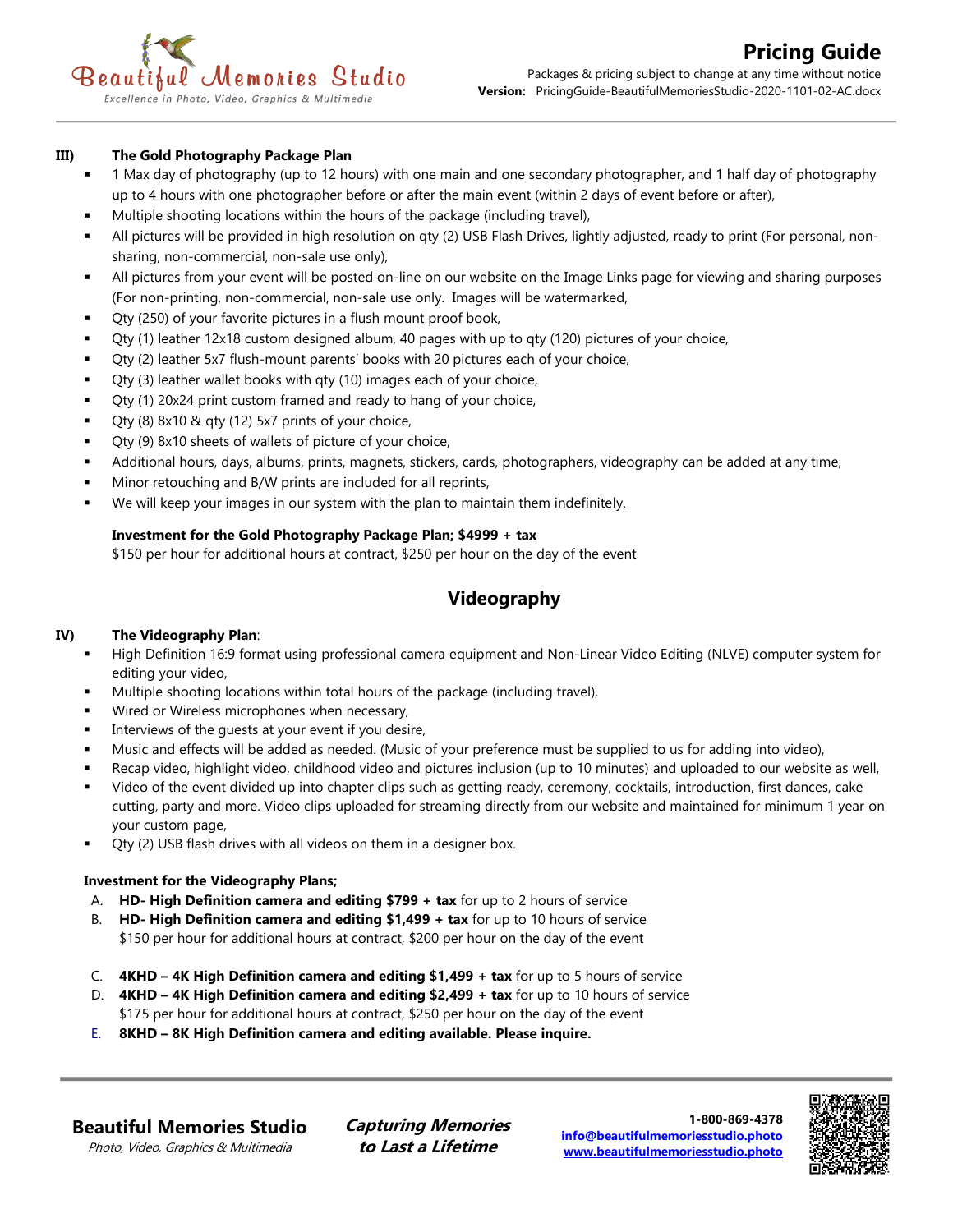### **III) The Gold Photography Package Plan**

- 1 Max day of photography (up to 12 hours) with one main and one secondary photographer, and 1 half day of photography up to 4 hours with one photographer before or after the main event (within 2 days of event before or after),
- Multiple shooting locations within the hours of the package (including travel),
- All pictures will be provided in high resolution on qty (2) USB Flash Drives, lightly adjusted, ready to print (For personal, nonsharing, non-commercial, non-sale use only),
- All pictures from your event will be posted on-line on our website on the Image Links page for viewing and sharing purposes (For non-printing, non-commercial, non-sale use only. Images will be watermarked,
- Qty (250) of your favorite pictures in a flush mount proof book,
- Qty (1) leather 12x18 custom designed album, 40 pages with up to qty (120) pictures of your choice,
- Qty (2) leather 5x7 flush-mount parents' books with 20 pictures each of your choice,
- Qty (3) leather wallet books with qty (10) images each of your choice,
- Qty (1) 20x24 print custom framed and ready to hang of your choice,
- Qty (8)  $8x10$  & qty (12)  $5x7$  prints of your choice,
- Qty (9) 8x10 sheets of wallets of picture of your choice,
- Additional hours, days, albums, prints, magnets, stickers, cards, photographers, videography can be added at any time,
- Minor retouching and B/W prints are included for all reprints,
- We will keep your images in our system with the plan to maintain them indefinitely.

# **Investment for the Gold Photography Package Plan; \$4999 + tax**

\$150 per hour for additional hours at contract, \$250 per hour on the day of the event

# **Videography**

### **IV) The Videography Plan**:

- High Definition 16:9 format using professional camera equipment and Non-Linear Video Editing (NLVE) computer system for editing your video,
- Multiple shooting locations within total hours of the package (including travel),
- Wired or Wireless microphones when necessary,
- Interviews of the quests at your event if you desire,
- Music and effects will be added as needed. (Music of your preference must be supplied to us for adding into video),
- Recap video, highlight video, childhood video and pictures inclusion (up to 10 minutes) and uploaded to our website as well,
- Video of the event divided up into chapter clips such as getting ready, ceremony, cocktails, introduction, first dances, cake cutting, party and more. Video clips uploaded for streaming directly from our website and maintained for minimum 1 year on your custom page,
- Qty (2) USB flash drives with all videos on them in a designer box.

### **Investment for the Videography Plans;**

- A. **HD- High Definition camera and editing \$799 + tax** for up to 2 hours of service
- B. **HD- High Definition camera and editing \$1,499 + tax** for up to 10 hours of service \$150 per hour for additional hours at contract, \$200 per hour on the day of the event
- C. **4KHD – 4K High Definition camera and editing \$1,499 + tax** for up to 5 hours of service
- D. **4KHD – 4K High Definition camera and editing \$2,499 + tax** for up to 10 hours of service \$175 per hour for additional hours at contract, \$250 per hour on the day of the event
- E. **8KHD – 8K High Definition camera and editing available. Please inquire.**

**Beautiful Memories Studio**

Photo, Video, Graphics & Multimedia

**Capturing Memories to Last a Lifetime**

**1-800-869-4378 [info@beautifulmemoriesstudio.photo](mailto:info@beautifulmemoriesstudio.photo) [www.beautifulmemoriesstudio.photo](http://www.beautifulmemoriesstudio.photo/)**